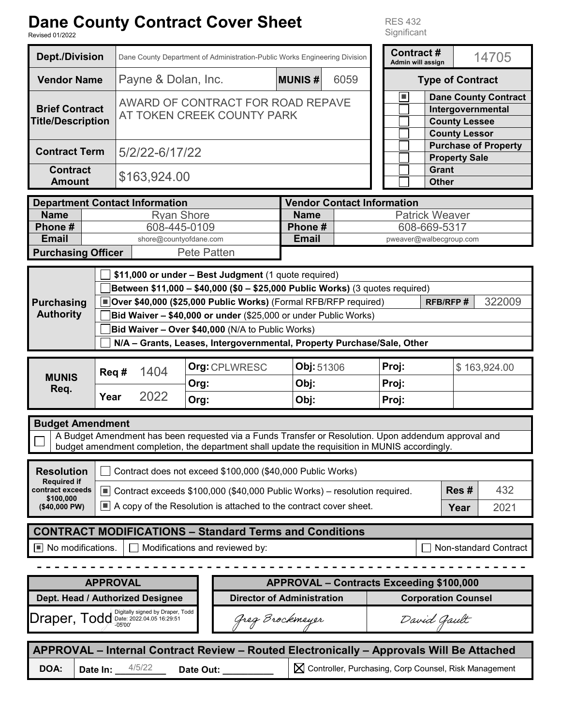# Dane County Contract Cover Shoot

RES 432

| Dane County Contract Cover Sneet<br><b>RES 432</b><br>Significant<br><b>Revised 01/2022</b>                                                                                                                                                                                                                                                                                                                             |                   |                                                                            |                                                               |      |                                                                                          |               |                                         |                              |                                       |  |                             |                                                                                                  |       |  |
|-------------------------------------------------------------------------------------------------------------------------------------------------------------------------------------------------------------------------------------------------------------------------------------------------------------------------------------------------------------------------------------------------------------------------|-------------------|----------------------------------------------------------------------------|---------------------------------------------------------------|------|------------------------------------------------------------------------------------------|---------------|-----------------------------------------|------------------------------|---------------------------------------|--|-----------------------------|--------------------------------------------------------------------------------------------------|-------|--|
| <b>Dept./Division</b>                                                                                                                                                                                                                                                                                                                                                                                                   |                   | Dane County Department of Administration-Public Works Engineering Division |                                                               |      |                                                                                          |               |                                         |                              | <b>Contract#</b><br>Admin will assign |  |                             |                                                                                                  | 14705 |  |
| <b>Vendor Name</b>                                                                                                                                                                                                                                                                                                                                                                                                      |                   | Payne & Dolan, Inc.                                                        |                                                               |      |                                                                                          | <b>MUNIS#</b> | 6059                                    |                              |                                       |  | <b>Type of Contract</b>     |                                                                                                  |       |  |
| <b>Brief Contract</b><br><b>Title/Description</b>                                                                                                                                                                                                                                                                                                                                                                       |                   | AWARD OF CONTRACT FOR ROAD REPAVE<br>AT TOKEN CREEK COUNTY PARK            |                                                               |      |                                                                                          |               |                                         |                              | $\blacksquare$                        |  |                             | <b>Dane County Contract</b><br>Intergovernmental<br><b>County Lessee</b><br><b>County Lessor</b> |       |  |
| <b>Contract Term</b>                                                                                                                                                                                                                                                                                                                                                                                                    | 5/2/22-6/17/22    |                                                                            |                                                               |      |                                                                                          |               |                                         |                              | <b>Property Sale</b>                  |  | <b>Purchase of Property</b> |                                                                                                  |       |  |
| <b>Contract</b><br><b>Amount</b>                                                                                                                                                                                                                                                                                                                                                                                        | \$163,924.00      |                                                                            |                                                               |      |                                                                                          |               |                                         | <b>Grant</b><br><b>Other</b> |                                       |  |                             |                                                                                                  |       |  |
| <b>Department Contact Information</b>                                                                                                                                                                                                                                                                                                                                                                                   |                   |                                                                            |                                                               |      |                                                                                          |               | <b>Vendor Contact Information</b>       |                              |                                       |  |                             |                                                                                                  |       |  |
| <b>Name</b>                                                                                                                                                                                                                                                                                                                                                                                                             | <b>Ryan Shore</b> |                                                                            |                                                               |      | <b>Name</b><br><b>Patrick Weaver</b>                                                     |               |                                         |                              |                                       |  |                             |                                                                                                  |       |  |
| Phone #                                                                                                                                                                                                                                                                                                                                                                                                                 | 608-445-0109      |                                                                            |                                                               |      | Phone #                                                                                  |               | 608-669-5317<br>pweaver@walbecgroup.com |                              |                                       |  |                             |                                                                                                  |       |  |
| <b>Email</b><br><b>Purchasing Officer</b>                                                                                                                                                                                                                                                                                                                                                                               |                   |                                                                            | <b>Email</b><br>shore@countyofdane.com<br><b>Pete Patten</b>  |      |                                                                                          |               |                                         |                              |                                       |  |                             |                                                                                                  |       |  |
|                                                                                                                                                                                                                                                                                                                                                                                                                         |                   |                                                                            |                                                               |      |                                                                                          |               |                                         |                              |                                       |  |                             |                                                                                                  |       |  |
| Between \$11,000 - \$40,000 (\$0 - \$25,000 Public Works) (3 quotes required)<br>Over \$40,000 (\$25,000 Public Works) (Formal RFB/RFP required)<br>322009<br><b>RFB/RFP#</b><br><b>Purchasing</b><br><b>Authority</b><br>Bid Waiver - \$40,000 or under (\$25,000 or under Public Works)<br>Bid Waiver - Over \$40,000 (N/A to Public Works)<br>N/A - Grants, Leases, Intergovernmental, Property Purchase/Sale, Other |                   |                                                                            |                                                               |      |                                                                                          |               |                                         |                              |                                       |  |                             |                                                                                                  |       |  |
|                                                                                                                                                                                                                                                                                                                                                                                                                         | Req #             |                                                                            | 1404                                                          |      | Org: CPLWRESC                                                                            |               | Obj: 51306                              |                              | Proj:                                 |  |                             | \$163,924.00                                                                                     |       |  |
| <b>MUNIS</b><br>Req.                                                                                                                                                                                                                                                                                                                                                                                                    |                   |                                                                            |                                                               |      | Org:                                                                                     |               | Obj:                                    |                              | Proj:                                 |  |                             |                                                                                                  |       |  |
|                                                                                                                                                                                                                                                                                                                                                                                                                         | Year              | 2022                                                                       |                                                               | Org: |                                                                                          | Obj:          |                                         | Proj:                        |                                       |  |                             |                                                                                                  |       |  |
|                                                                                                                                                                                                                                                                                                                                                                                                                         |                   |                                                                            |                                                               |      |                                                                                          |               |                                         |                              |                                       |  |                             |                                                                                                  |       |  |
| <b>Budget Amendment</b><br>A Budget Amendment has been requested via a Funds Transfer or Resolution. Upon addendum approval and<br>budget amendment completion, the department shall update the requisition in MUNIS accordingly.                                                                                                                                                                                       |                   |                                                                            |                                                               |      |                                                                                          |               |                                         |                              |                                       |  |                             |                                                                                                  |       |  |
| Contract does not exceed \$100,000 (\$40,000 Public Works)<br><b>Resolution</b>                                                                                                                                                                                                                                                                                                                                         |                   |                                                                            |                                                               |      |                                                                                          |               |                                         |                              |                                       |  |                             |                                                                                                  |       |  |
| <b>Required if</b><br>Res#<br>contract exceeds<br>$\boxed{\blacksquare}$ Contract exceeds \$100,000 (\$40,000 Public Works) – resolution required.                                                                                                                                                                                                                                                                      |                   |                                                                            |                                                               |      |                                                                                          |               | 432                                     |                              |                                       |  |                             |                                                                                                  |       |  |
| \$100.000<br><b>TELESCOPE</b><br>(\$40,000 PW)                                                                                                                                                                                                                                                                                                                                                                          |                   | A copy of the Resolution is attached to the contract cover sheet.          |                                                               |      |                                                                                          |               |                                         |                              |                                       |  | Year                        |                                                                                                  | 2021  |  |
| <b>CONTRACT MODIFICATIONS - Standard Terms and Conditions</b>                                                                                                                                                                                                                                                                                                                                                           |                   |                                                                            |                                                               |      |                                                                                          |               |                                         |                              |                                       |  |                             |                                                                                                  |       |  |
| $\blacksquare$ No modifications.<br>Modifications and reviewed by:<br>Non-standard Contract                                                                                                                                                                                                                                                                                                                             |                   |                                                                            |                                                               |      |                                                                                          |               |                                         |                              |                                       |  |                             |                                                                                                  |       |  |
|                                                                                                                                                                                                                                                                                                                                                                                                                         |                   |                                                                            |                                                               |      |                                                                                          |               |                                         |                              |                                       |  |                             |                                                                                                  |       |  |
| <b>APPROVAL</b><br>APPROVAL - Contracts Exceeding \$100,000                                                                                                                                                                                                                                                                                                                                                             |                   |                                                                            |                                                               |      |                                                                                          |               |                                         |                              |                                       |  |                             |                                                                                                  |       |  |
| Dept. Head / Authorized Designee<br><b>Director of Administration</b><br><b>Corporation Counsel</b>                                                                                                                                                                                                                                                                                                                     |                   |                                                                            |                                                               |      |                                                                                          |               |                                         |                              |                                       |  |                             |                                                                                                  |       |  |
| Draper, Todd<br>$-05'00$                                                                                                                                                                                                                                                                                                                                                                                                |                   |                                                                            | Digitally signed by Draper, Todd<br>Date: 2022.04.05 16:29:51 |      | Greg Brockmeyer                                                                          |               |                                         | David Gault                  |                                       |  |                             |                                                                                                  |       |  |
|                                                                                                                                                                                                                                                                                                                                                                                                                         |                   |                                                                            |                                                               |      |                                                                                          |               |                                         |                              |                                       |  |                             |                                                                                                  |       |  |
|                                                                                                                                                                                                                                                                                                                                                                                                                         |                   |                                                                            |                                                               |      | APPROVAL - Internal Contract Review - Routed Electronically - Approvals Will Be Attached |               |                                         |                              |                                       |  |                             |                                                                                                  |       |  |
| X Controller, Purchasing, Corp Counsel, Risk Management<br>4/5/22<br>DOA:<br>Date In: __<br>Date Out: _                                                                                                                                                                                                                                                                                                                 |                   |                                                                            |                                                               |      |                                                                                          |               |                                         |                              |                                       |  |                             |                                                                                                  |       |  |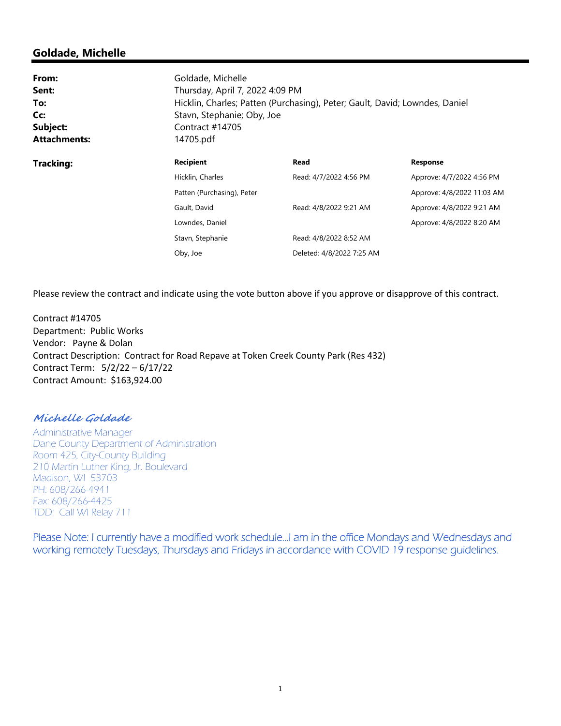# **Goldade, Michelle**

| From:<br>Sent:<br>To:<br>Cc:<br>Subject:<br><b>Attachments:</b> | Goldade, Michelle<br>Thursday, April 7, 2022 4:09 PM<br>Hicklin, Charles; Patten (Purchasing), Peter; Gault, David; Lowndes, Daniel<br>Stavn, Stephanie; Oby, Joe<br>Contract #14705<br>14705.pdf |                           |                            |  |  |  |  |  |
|-----------------------------------------------------------------|---------------------------------------------------------------------------------------------------------------------------------------------------------------------------------------------------|---------------------------|----------------------------|--|--|--|--|--|
| <b>Tracking:</b>                                                | <b>Recipient</b>                                                                                                                                                                                  | Read                      | <b>Response</b>            |  |  |  |  |  |
|                                                                 | Hicklin, Charles                                                                                                                                                                                  | Read: 4/7/2022 4:56 PM    | Approve: 4/7/2022 4:56 PM  |  |  |  |  |  |
|                                                                 | Patten (Purchasing), Peter                                                                                                                                                                        |                           | Approve: 4/8/2022 11:03 AM |  |  |  |  |  |
|                                                                 | Gault, David                                                                                                                                                                                      | Read: 4/8/2022 9:21 AM    | Approve: 4/8/2022 9:21 AM  |  |  |  |  |  |
|                                                                 | Lowndes, Daniel                                                                                                                                                                                   |                           | Approve: 4/8/2022 8:20 AM  |  |  |  |  |  |
|                                                                 | Stavn, Stephanie                                                                                                                                                                                  | Read: 4/8/2022 8:52 AM    |                            |  |  |  |  |  |
|                                                                 | Oby, Joe                                                                                                                                                                                          | Deleted: 4/8/2022 7:25 AM |                            |  |  |  |  |  |

Please review the contract and indicate using the vote button above if you approve or disapprove of this contract.

Contract #14705 Department: Public Works Vendor: Payne & Dolan Contract Description: Contract for Road Repave at Token Creek County Park (Res 432) Contract Term: 5/2/22 – 6/17/22 Contract Amount: \$163,924.00

### **Michelle Goldade**

Administrative Manager Dane County Department of Administration Room 425, City-County Building 210 Martin Luther King, Jr. Boulevard Madison, WI 53703 PH: 608/266-4941 Fax: 608/266-4425 TDD: Call WI Relay 711

Please Note: I currently have a modified work schedule…I am in the office Mondays and Wednesdays and working remotely Tuesdays, Thursdays and Fridays in accordance with COVID 19 response guidelines.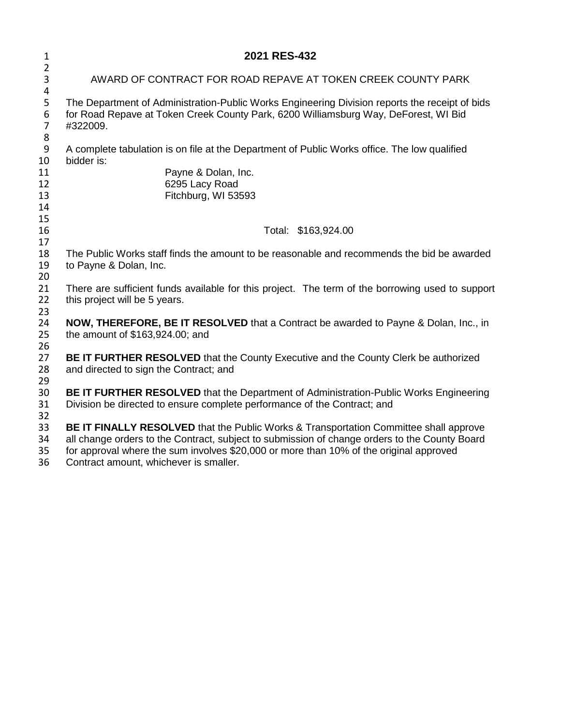| 1                          | 2021 RES-432                                                                                                                                                                                                                                                                                                                      |  |  |  |  |  |  |
|----------------------------|-----------------------------------------------------------------------------------------------------------------------------------------------------------------------------------------------------------------------------------------------------------------------------------------------------------------------------------|--|--|--|--|--|--|
| $\overline{2}$<br>3        | AWARD OF CONTRACT FOR ROAD REPAVE AT TOKEN CREEK COUNTY PARK                                                                                                                                                                                                                                                                      |  |  |  |  |  |  |
| 4<br>5<br>6<br>7<br>8      | The Department of Administration-Public Works Engineering Division reports the receipt of bids<br>for Road Repave at Token Creek County Park, 6200 Williamsburg Way, DeForest, WI Bid<br>#322009.                                                                                                                                 |  |  |  |  |  |  |
| 9<br>10                    | A complete tabulation is on file at the Department of Public Works office. The low qualified<br>bidder is:                                                                                                                                                                                                                        |  |  |  |  |  |  |
| 11<br>12<br>13<br>14<br>15 | Payne & Dolan, Inc.<br>6295 Lacy Road<br>Fitchburg, WI 53593                                                                                                                                                                                                                                                                      |  |  |  |  |  |  |
| 16<br>17                   | Total: \$163,924.00                                                                                                                                                                                                                                                                                                               |  |  |  |  |  |  |
| 18<br>19<br>20             | The Public Works staff finds the amount to be reasonable and recommends the bid be awarded<br>to Payne & Dolan, Inc.                                                                                                                                                                                                              |  |  |  |  |  |  |
| 21<br>22<br>23             | There are sufficient funds available for this project. The term of the borrowing used to support<br>this project will be 5 years.                                                                                                                                                                                                 |  |  |  |  |  |  |
| 24<br>25<br>26             | NOW, THEREFORE, BE IT RESOLVED that a Contract be awarded to Payne & Dolan, Inc., in<br>the amount of \$163,924.00; and                                                                                                                                                                                                           |  |  |  |  |  |  |
| 27<br>28<br>29             | <b>BE IT FURTHER RESOLVED</b> that the County Executive and the County Clerk be authorized<br>and directed to sign the Contract; and                                                                                                                                                                                              |  |  |  |  |  |  |
| 30<br>31<br>32             | BE IT FURTHER RESOLVED that the Department of Administration-Public Works Engineering<br>Division be directed to ensure complete performance of the Contract; and                                                                                                                                                                 |  |  |  |  |  |  |
| 33<br>34<br>35<br>36       | <b>BE IT FINALLY RESOLVED</b> that the Public Works & Transportation Committee shall approve<br>all change orders to the Contract, subject to submission of change orders to the County Board<br>for approval where the sum involves \$20,000 or more than 10% of the original approved<br>Contract amount, whichever is smaller. |  |  |  |  |  |  |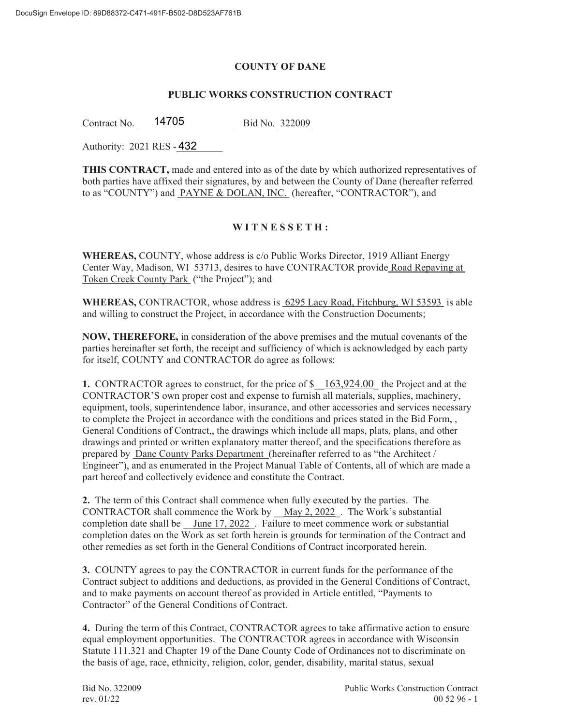#### **COUNTY OF DANE**

#### **PUBLIC WORKS CONSTRUCTION CONTRACT**

Contract No. 14705 Bid No. 322009

Authority: 2021 RES - 432

**THIS CONTRACT,** made and entered into as of the date by which authorized representatives of both parties have affixed their signatures, by and between the County of Dane (hereafter referred to as "COUNTY") and PAYNE & DOLAN, INC. (hereafter, "CONTRACTOR"), and

## **W I T N E S S E T H :**

**WHEREAS,** COUNTY, whose address is c/o Public Works Director, 1919 Alliant Energy Center Way, Madison, WI 53713, desires to have CONTRACTOR provide Road Repaving at Token Creek County Park ("the Project"); and

**WHEREAS,** CONTRACTOR, whose address is 6295 Lacy Road, Fitchburg, WI 53593 is able and willing to construct the Project, in accordance with the Construction Documents;

**NOW, THEREFORE,** in consideration of the above premises and the mutual covenants of the parties hereinafter set forth, the receipt and sufficiency of which is acknowledged by each party for itself, COUNTY and CONTRACTOR do agree as follows:

**1.** CONTRACTOR agrees to construct, for the price of  $\frac{163,924.00}{163,924.00}$  the Project and at the CONTRACTOR'S own proper cost and expense to furnish all materials, supplies, machinery, equipment, tools, superintendence labor, insurance, and other accessories and services necessary to complete the Project in accordance with the conditions and prices stated in the Bid Form, , General Conditions of Contract,, the drawings which include all maps, plats, plans, and other drawings and printed or written explanatory matter thereof, and the specifications therefore as prepared by Dane County Parks Department (hereinafter referred to as "the Architect / Engineer"), and as enumerated in the Project Manual Table of Contents, all of which are made a part hereof and collectively evidence and constitute the Contract.

**2.** The term of this Contract shall commence when fully executed by the parties. The CONTRACTOR shall commence the Work by \_\_May 2, 2022 . The Work's substantial completion date shall be  $\frac{June}{17, 2022}$ . Failure to meet commence work or substantial completion dates on the Work as set forth herein is grounds for termination of the Contract and other remedies as set forth in the General Conditions of Contract incorporated herein.

**3.** COUNTY agrees to pay the CONTRACTOR in current funds for the performance of the Contract subject to additions and deductions, as provided in the General Conditions of Contract, and to make payments on account thereof as provided in Article entitled, "Payments to Contractor" of the General Conditions of Contract.

**4.** During the term of this Contract, CONTRACTOR agrees to take affirmative action to ensure equal employment opportunities. The CONTRACTOR agrees in accordance with Wisconsin Statute 111.321 and Chapter 19 of the Dane County Code of Ordinances not to discriminate on the basis of age, race, ethnicity, religion, color, gender, disability, marital status, sexual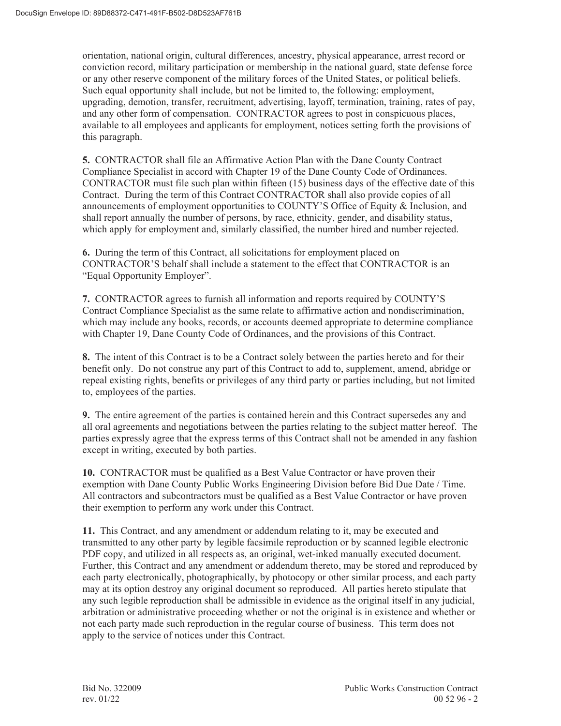orientation, national origin, cultural differences, ancestry, physical appearance, arrest record or conviction record, military participation or membership in the national guard, state defense force or any other reserve component of the military forces of the United States, or political beliefs. Such equal opportunity shall include, but not be limited to, the following: employment, upgrading, demotion, transfer, recruitment, advertising, layoff, termination, training, rates of pay, and any other form of compensation. CONTRACTOR agrees to post in conspicuous places, available to all employees and applicants for employment, notices setting forth the provisions of this paragraph.

**5.** CONTRACTOR shall file an Affirmative Action Plan with the Dane County Contract Compliance Specialist in accord with Chapter 19 of the Dane County Code of Ordinances. CONTRACTOR must file such plan within fifteen (15) business days of the effective date of this Contract. During the term of this Contract CONTRACTOR shall also provide copies of all announcements of employment opportunities to COUNTY'S Office of Equity & Inclusion, and shall report annually the number of persons, by race, ethnicity, gender, and disability status, which apply for employment and, similarly classified, the number hired and number rejected.

**6.** During the term of this Contract, all solicitations for employment placed on CONTRACTOR'S behalf shall include a statement to the effect that CONTRACTOR is an "Equal Opportunity Employer".

**7.** CONTRACTOR agrees to furnish all information and reports required by COUNTY'S Contract Compliance Specialist as the same relate to affirmative action and nondiscrimination, which may include any books, records, or accounts deemed appropriate to determine compliance with Chapter 19, Dane County Code of Ordinances, and the provisions of this Contract.

**8.** The intent of this Contract is to be a Contract solely between the parties hereto and for their benefit only. Do not construe any part of this Contract to add to, supplement, amend, abridge or repeal existing rights, benefits or privileges of any third party or parties including, but not limited to, employees of the parties.

**9.** The entire agreement of the parties is contained herein and this Contract supersedes any and all oral agreements and negotiations between the parties relating to the subject matter hereof. The parties expressly agree that the express terms of this Contract shall not be amended in any fashion except in writing, executed by both parties.

**10.** CONTRACTOR must be qualified as a Best Value Contractor or have proven their exemption with Dane County Public Works Engineering Division before Bid Due Date / Time. All contractors and subcontractors must be qualified as a Best Value Contractor or have proven their exemption to perform any work under this Contract.

**11.** This Contract, and any amendment or addendum relating to it, may be executed and transmitted to any other party by legible facsimile reproduction or by scanned legible electronic PDF copy, and utilized in all respects as, an original, wet-inked manually executed document. Further, this Contract and any amendment or addendum thereto, may be stored and reproduced by each party electronically, photographically, by photocopy or other similar process, and each party may at its option destroy any original document so reproduced. All parties hereto stipulate that any such legible reproduction shall be admissible in evidence as the original itself in any judicial, arbitration or administrative proceeding whether or not the original is in existence and whether or not each party made such reproduction in the regular course of business. This term does not apply to the service of notices under this Contract.